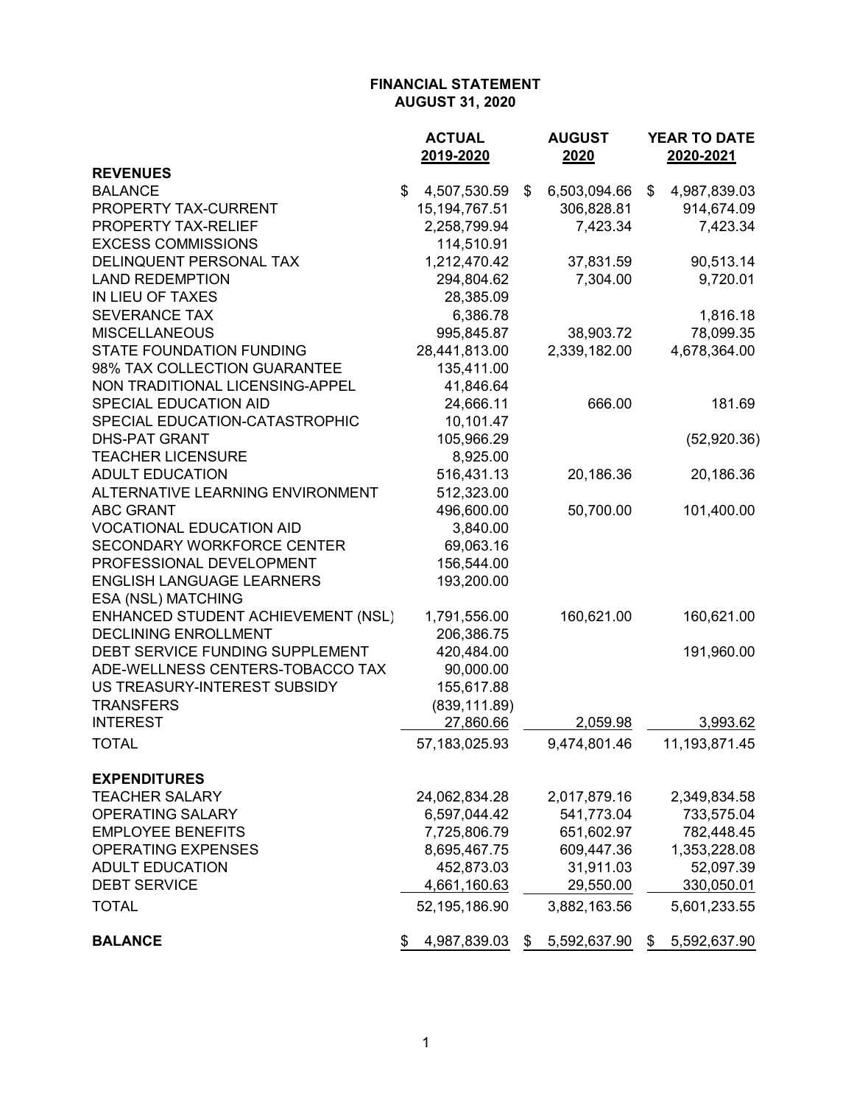|                                    | <b>ACTUAL</b>      | <b>AUGUST</b>      | <b>YEAR TO DATE</b> |
|------------------------------------|--------------------|--------------------|---------------------|
|                                    | 2019-2020          | 2020               | 2020-2021           |
| <b>REVENUES</b>                    |                    |                    |                     |
| <b>BALANCE</b>                     | \$<br>4,507,530.59 | \$<br>6,503,094.66 | \$<br>4,987,839.03  |
| PROPERTY TAX-CURRENT               | 15, 194, 767. 51   | 306,828.81         | 914,674.09          |
| PROPERTY TAX-RELIEF                | 2,258,799.94       | 7,423.34           | 7,423.34            |
| <b>EXCESS COMMISSIONS</b>          | 114,510.91         |                    |                     |
| DELINQUENT PERSONAL TAX            | 1,212,470.42       | 37,831.59          | 90,513.14           |
| <b>LAND REDEMPTION</b>             | 294,804.62         | 7,304.00           | 9,720.01            |
| IN LIEU OF TAXES                   | 28,385.09          |                    |                     |
| <b>SEVERANCE TAX</b>               | 6,386.78           |                    | 1,816.18            |
| <b>MISCELLANEOUS</b>               | 995,845.87         | 38,903.72          | 78,099.35           |
| <b>STATE FOUNDATION FUNDING</b>    | 28,441,813.00      | 2,339,182.00       | 4,678,364.00        |
| 98% TAX COLLECTION GUARANTEE       | 135,411.00         |                    |                     |
| NON TRADITIONAL LICENSING-APPEL    | 41,846.64          |                    |                     |
| SPECIAL EDUCATION AID              | 24,666.11          | 666.00             | 181.69              |
| SPECIAL EDUCATION-CATASTROPHIC     | 10,101.47          |                    |                     |
| <b>DHS-PAT GRANT</b>               | 105,966.29         |                    | (52,920.36)         |
| <b>TEACHER LICENSURE</b>           | 8,925.00           |                    |                     |
| <b>ADULT EDUCATION</b>             | 516,431.13         | 20,186.36          | 20,186.36           |
| ALTERNATIVE LEARNING ENVIRONMENT   | 512,323.00         |                    |                     |
| <b>ABC GRANT</b>                   | 496,600.00         | 50,700.00          | 101,400.00          |
| <b>VOCATIONAL EDUCATION AID</b>    | 3,840.00           |                    |                     |
| <b>SECONDARY WORKFORCE CENTER</b>  | 69,063.16          |                    |                     |
| PROFESSIONAL DEVELOPMENT           | 156,544.00         |                    |                     |
| <b>ENGLISH LANGUAGE LEARNERS</b>   | 193,200.00         |                    |                     |
| ESA (NSL) MATCHING                 |                    |                    |                     |
| ENHANCED STUDENT ACHIEVEMENT (NSL) | 1,791,556.00       | 160,621.00         | 160,621.00          |
| <b>DECLINING ENROLLMENT</b>        | 206,386.75         |                    |                     |
| DEBT SERVICE FUNDING SUPPLEMENT    | 420,484.00         |                    | 191,960.00          |
| ADE-WELLNESS CENTERS-TOBACCO TAX   | 90,000.00          |                    |                     |
| US TREASURY-INTEREST SUBSIDY       | 155,617.88         |                    |                     |
| <b>TRANSFERS</b>                   | (839, 111.89)      |                    |                     |
| <b>INTEREST</b>                    | 27,860.66          | 2,059.98           | 3,993.62            |
| <b>TOTAL</b>                       | 57, 183, 025. 93   | 9,474,801.46       | 11,193,871.45       |
| <b>EXPENDITURES</b>                |                    |                    |                     |
| <b>TEACHER SALARY</b>              | 24,062,834.28      | 2,017,879.16       | 2,349,834.58        |
| <b>OPERATING SALARY</b>            | 6,597,044.42       | 541,773.04         | 733,575.04          |
| <b>EMPLOYEE BENEFITS</b>           | 7,725,806.79       | 651,602.97         | 782,448.45          |
| <b>OPERATING EXPENSES</b>          | 8,695,467.75       | 609,447.36         | 1,353,228.08        |
| <b>ADULT EDUCATION</b>             | 452,873.03         | 31,911.03          | 52,097.39           |
| <b>DEBT SERVICE</b>                | 4,661,160.63       | 29,550.00          | 330,050.01          |
| <b>TOTAL</b>                       | 52,195,186.90      | 3,882,163.56       | 5,601,233.55        |
| <b>BALANCE</b>                     | \$<br>4,987,839.03 | \$<br>5,592,637.90 | \$<br>5,592,637.90  |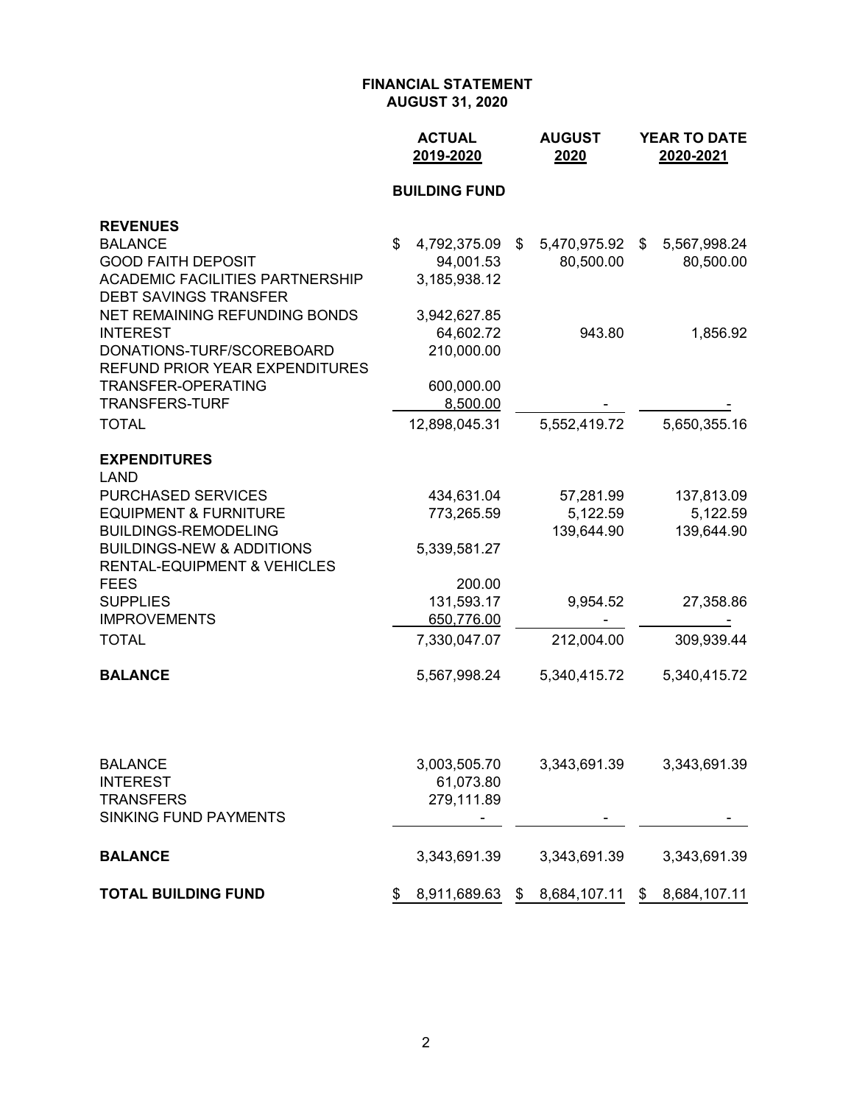|                                                                                | <b>ACTUAL</b><br>2019-2020 |                           |    | <b>AUGUST</b><br>2020 | YEAR TO DATE<br>2020-2021 |              |  |
|--------------------------------------------------------------------------------|----------------------------|---------------------------|----|-----------------------|---------------------------|--------------|--|
|                                                                                |                            | <b>BUILDING FUND</b>      |    |                       |                           |              |  |
| <b>REVENUES</b>                                                                |                            |                           |    |                       |                           |              |  |
| <b>BALANCE</b>                                                                 | \$                         | 4,792,375.09              | \$ | 5,470,975.92          | \$                        | 5,567,998.24 |  |
| <b>GOOD FAITH DEPOSIT</b>                                                      |                            | 94,001.53                 |    | 80,500.00             |                           | 80,500.00    |  |
| <b>ACADEMIC FACILITIES PARTNERSHIP</b>                                         |                            | 3,185,938.12              |    |                       |                           |              |  |
| <b>DEBT SAVINGS TRANSFER</b>                                                   |                            |                           |    |                       |                           |              |  |
| NET REMAINING REFUNDING BONDS<br><b>INTEREST</b>                               |                            | 3,942,627.85<br>64,602.72 |    | 943.80                |                           | 1,856.92     |  |
| DONATIONS-TURF/SCOREBOARD                                                      |                            | 210,000.00                |    |                       |                           |              |  |
| <b>REFUND PRIOR YEAR EXPENDITURES</b>                                          |                            |                           |    |                       |                           |              |  |
| <b>TRANSFER-OPERATING</b>                                                      |                            | 600,000.00                |    |                       |                           |              |  |
| <b>TRANSFERS-TURF</b>                                                          |                            | 8,500.00                  |    |                       |                           |              |  |
| <b>TOTAL</b>                                                                   |                            | 12,898,045.31             |    | 5,552,419.72          |                           | 5,650,355.16 |  |
| <b>EXPENDITURES</b><br><b>LAND</b>                                             |                            |                           |    |                       |                           |              |  |
| <b>PURCHASED SERVICES</b>                                                      |                            | 434,631.04                |    | 57,281.99             |                           | 137,813.09   |  |
| <b>EQUIPMENT &amp; FURNITURE</b>                                               |                            | 773,265.59                |    | 5,122.59              |                           | 5,122.59     |  |
| <b>BUILDINGS-REMODELING</b>                                                    |                            |                           |    | 139,644.90            |                           | 139,644.90   |  |
| <b>BUILDINGS-NEW &amp; ADDITIONS</b><br><b>RENTAL-EQUIPMENT &amp; VEHICLES</b> |                            | 5,339,581.27              |    |                       |                           |              |  |
| <b>FEES</b>                                                                    |                            | 200.00                    |    |                       |                           |              |  |
| <b>SUPPLIES</b>                                                                |                            | 131,593.17                |    | 9,954.52              |                           | 27,358.86    |  |
| <b>IMPROVEMENTS</b>                                                            |                            | 650,776.00                |    |                       |                           |              |  |
| <b>TOTAL</b>                                                                   |                            | 7,330,047.07              |    | 212,004.00            |                           | 309,939.44   |  |
| <b>BALANCE</b>                                                                 |                            | 5,567,998.24              |    | 5,340,415.72          |                           | 5,340,415.72 |  |
|                                                                                |                            |                           |    |                       |                           |              |  |
| <b>BALANCE</b>                                                                 |                            | 3,003,505.70              |    | 3,343,691.39          |                           | 3,343,691.39 |  |
| <b>INTEREST</b>                                                                |                            | 61,073.80                 |    |                       |                           |              |  |
| <b>TRANSFERS</b><br><b>SINKING FUND PAYMENTS</b>                               |                            | 279,111.89                |    |                       |                           |              |  |
| <b>BALANCE</b>                                                                 |                            | 3,343,691.39              |    | 3,343,691.39          |                           | 3,343,691.39 |  |
| <b>TOTAL BUILDING FUND</b>                                                     | \$                         | 8,911,689.63              | \$ | 8,684,107.11          |                           | 8,684,107.11 |  |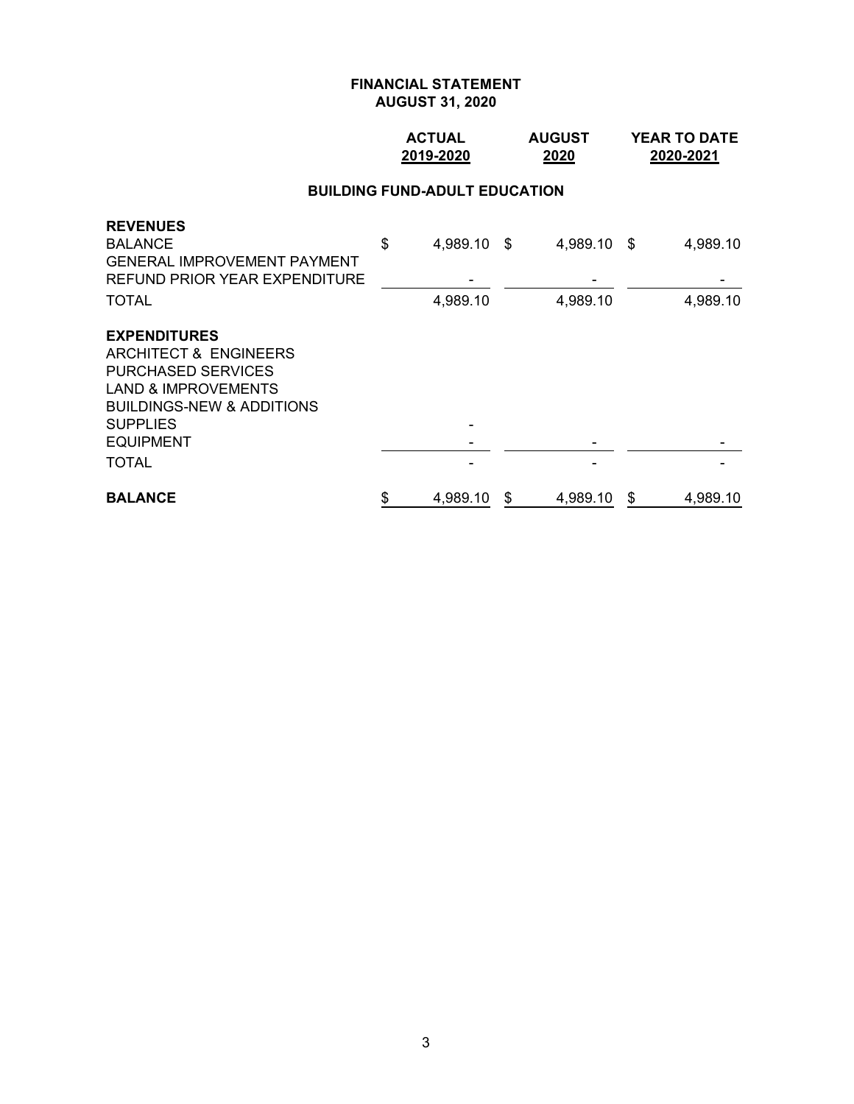### **ACTUAL AUGUST YEAR TO DATE 2019-2020 2020 2020-2021**

# **BUILDING FUND-ADULT EDUCATION**

| <b>REVENUES</b><br><b>BALANCE</b><br><b>GENERAL IMPROVEMENT PAYMENT</b><br>REFUND PRIOR YEAR EXPENDITURE | \$<br>4,989.10 \$ | 4,989.10 \$    |    | 4,989.10 |
|----------------------------------------------------------------------------------------------------------|-------------------|----------------|----|----------|
| <b>TOTAL</b>                                                                                             | 4,989.10          | 4,989.10       |    | 4,989.10 |
| <b>EXPENDITURES</b>                                                                                      |                   |                |    |          |
| <b>ARCHITECT &amp; ENGINEERS</b>                                                                         |                   |                |    |          |
| <b>PURCHASED SERVICES</b>                                                                                |                   |                |    |          |
| <b>LAND &amp; IMPROVEMENTS</b>                                                                           |                   |                |    |          |
| <b>BUILDINGS-NEW &amp; ADDITIONS</b>                                                                     |                   |                |    |          |
| <b>SUPPLIES</b>                                                                                          |                   |                |    |          |
| <b>EQUIPMENT</b>                                                                                         |                   |                |    |          |
| <b>TOTAL</b>                                                                                             |                   |                |    |          |
| <b>BALANCE</b>                                                                                           | \$<br>4,989.10    | \$<br>4,989.10 | -S | 4,989.10 |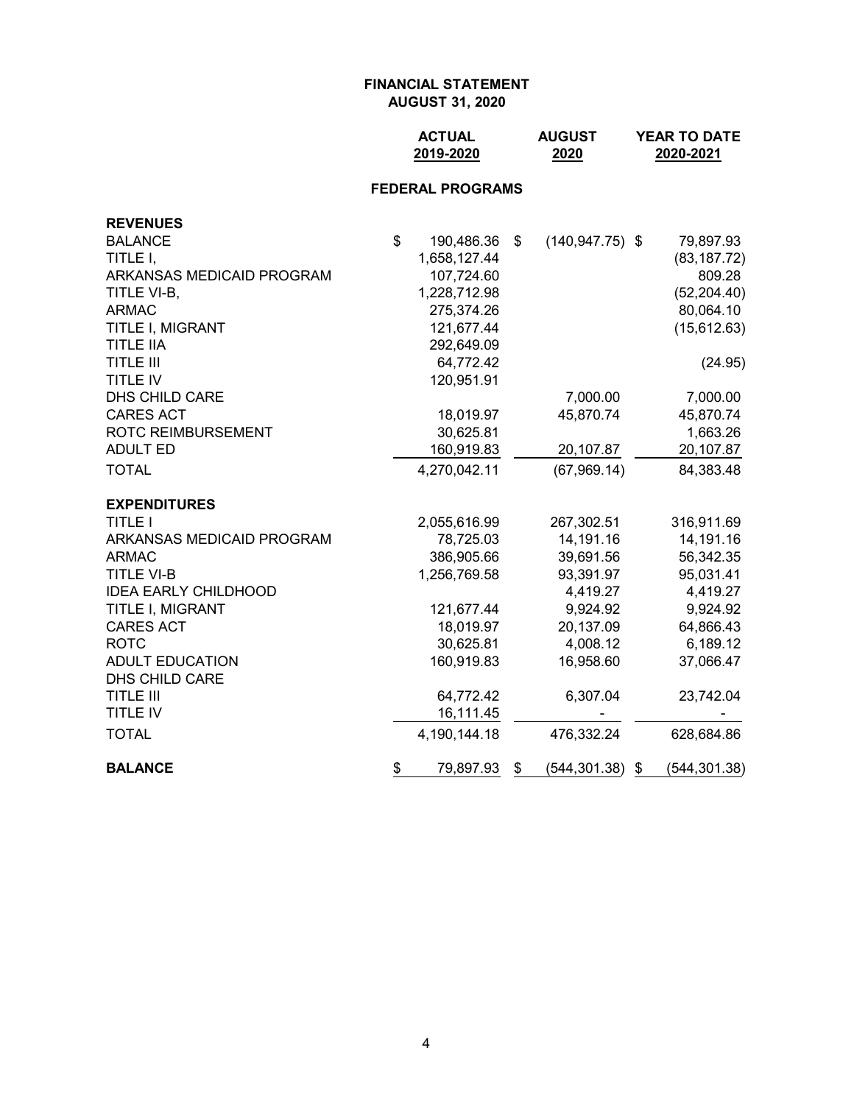|                             | <b>ACTUAL</b><br>2019-2020 | <b>AUGUST</b><br>2020    | YEAR TO DATE<br>2020-2021 |
|-----------------------------|----------------------------|--------------------------|---------------------------|
|                             | <b>FEDERAL PROGRAMS</b>    |                          |                           |
| <b>REVENUES</b>             |                            |                          |                           |
| <b>BALANCE</b>              | \$<br>190,486.36           | \$<br>$(140, 947.75)$ \$ | 79,897.93                 |
| TITLE I,                    | 1,658,127.44               |                          | (83, 187.72)              |
| ARKANSAS MEDICAID PROGRAM   | 107,724.60                 |                          | 809.28                    |
| TITLE VI-B,                 | 1,228,712.98               |                          | (52, 204.40)              |
| <b>ARMAC</b>                | 275,374.26                 |                          | 80,064.10                 |
| TITLE I, MIGRANT            | 121,677.44                 |                          | (15, 612.63)              |
| <b>TITLE IIA</b>            | 292,649.09                 |                          |                           |
| <b>TITLE III</b>            | 64,772.42                  |                          | (24.95)                   |
| <b>TITLE IV</b>             | 120,951.91                 |                          |                           |
| DHS CHILD CARE              |                            | 7,000.00                 | 7,000.00                  |
| <b>CARES ACT</b>            | 18,019.97                  | 45,870.74                | 45,870.74                 |
| <b>ROTC REIMBURSEMENT</b>   | 30,625.81                  |                          | 1,663.26                  |
| <b>ADULT ED</b>             | 160,919.83                 | 20,107.87                | 20,107.87                 |
| <b>TOTAL</b>                | 4,270,042.11               | (67,969.14)              | 84,383.48                 |
| <b>EXPENDITURES</b>         |                            |                          |                           |
| <b>TITLE I</b>              | 2,055,616.99               | 267,302.51               | 316,911.69                |
| ARKANSAS MEDICAID PROGRAM   | 78,725.03                  | 14,191.16                | 14,191.16                 |
| <b>ARMAC</b>                | 386,905.66                 | 39,691.56                | 56,342.35                 |
| <b>TITLE VI-B</b>           | 1,256,769.58               | 93,391.97                | 95,031.41                 |
| <b>IDEA EARLY CHILDHOOD</b> |                            | 4,419.27                 | 4,419.27                  |
| TITLE I, MIGRANT            | 121,677.44                 | 9,924.92                 | 9,924.92                  |
| <b>CARES ACT</b>            | 18,019.97                  | 20,137.09                | 64,866.43                 |

DHS CHILD CARE

ROTC 30,625.81 4,008.12 6,189.12

TITLE III 64,772.42 6,307.04 23,742.04<br>TITLE IV 6.111.45

TOTAL 4,190,144.18 476,332.24 628,684.86

**BALANCE** \$ 79,897.93 \$ (544,301.38) \$ (544,301.38)

TITLE IV 16,111.45 - -

ADULT EDUCATION 160,919.83 16,958.60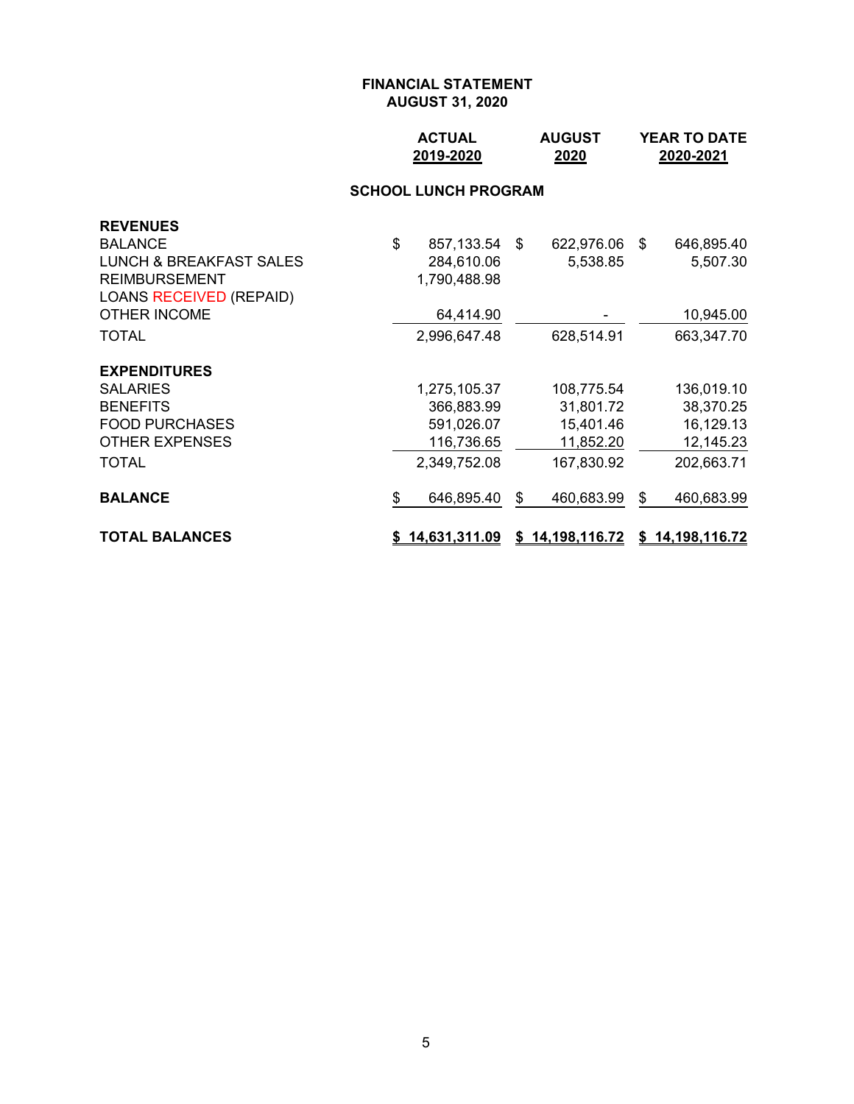### **ACTUAL AUGUST YEAR TO DATE 2019-2020 2020 2020-2021**

# **SCHOOL LUNCH PROGRAM**

|                                        |                                                                 | 628,514.91                                                      |                 | 10,945.00<br>663,347.70                                         |
|----------------------------------------|-----------------------------------------------------------------|-----------------------------------------------------------------|-----------------|-----------------------------------------------------------------|
| 366,883.99<br>591,026.07<br>116,736.65 |                                                                 | 108,775.54<br>31,801.72<br>15,401.46<br>11,852.20<br>167,830.92 |                 | 136,019.10<br>38,370.25<br>16,129.13<br>12,145.23<br>202,663.71 |
| \$<br>646,895.40                       | \$                                                              | 460,683.99                                                      | \$              | 460,683.99                                                      |
|                                        | 2,996,647.48<br>1,275,105.37<br>2,349,752.08<br>\$14,631,311.09 | 64,414.90                                                       | \$14,198,116.72 | \$14,198,116.72                                                 |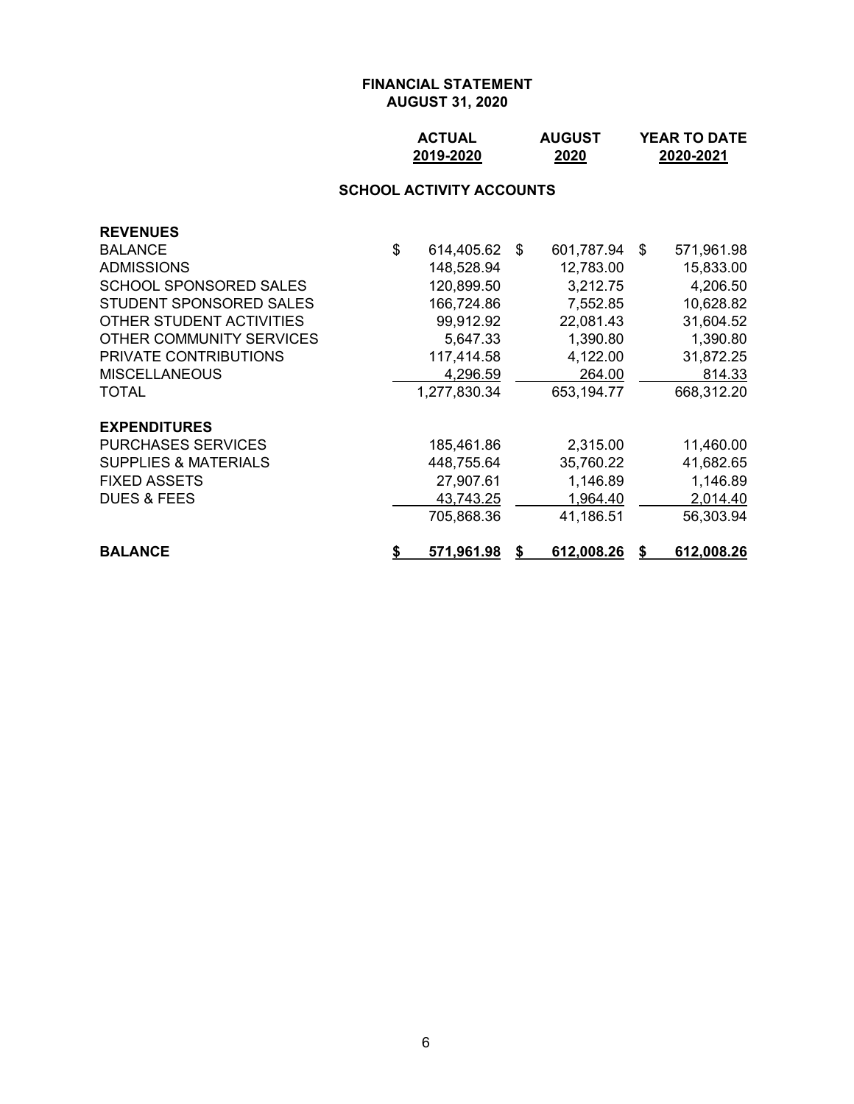### **ACTUAL AUGUST YEAR TO DATE 2019-2020 2020 2020-2021**

#### **SCHOOL ACTIVITY ACCOUNTS**

| <b>REVENUES</b>                 |    |               |   |            |                  |
|---------------------------------|----|---------------|---|------------|------------------|
| <b>BALANCE</b>                  | \$ | 614,405.62 \$ |   | 601,787.94 | \$<br>571,961.98 |
| <b>ADMISSIONS</b>               |    | 148,528.94    |   | 12,783.00  | 15,833.00        |
| <b>SCHOOL SPONSORED SALES</b>   |    | 120,899.50    |   | 3,212.75   | 4,206.50         |
| STUDENT SPONSORED SALES         |    | 166,724.86    |   | 7,552.85   | 10,628.82        |
| OTHER STUDENT ACTIVITIES        |    | 99,912.92     |   | 22,081.43  | 31,604.52        |
| OTHER COMMUNITY SERVICES        |    | 5,647.33      |   | 1,390.80   | 1,390.80         |
| PRIVATE CONTRIBUTIONS           |    | 117,414.58    |   | 4,122.00   | 31,872.25        |
| <b>MISCELLANEOUS</b>            |    | 4,296.59      |   | 264.00     | 814.33           |
| TOTAL                           |    | 1,277,830.34  |   | 653,194.77 | 668,312.20       |
| <b>EXPENDITURES</b>             |    |               |   |            |                  |
| <b>PURCHASES SERVICES</b>       |    | 185,461.86    |   | 2,315.00   | 11,460.00        |
| <b>SUPPLIES &amp; MATERIALS</b> |    | 448,755.64    |   | 35,760.22  | 41,682.65        |
| <b>FIXED ASSETS</b>             |    | 27,907.61     |   | 1,146.89   | 1,146.89         |
| <b>DUES &amp; FEES</b>          |    | 43,743.25     |   | 1,964.40   | 2,014.40         |
|                                 |    | 705,868.36    |   | 41,186.51  | 56,303.94        |
| <b>BALANCE</b>                  | S  | 571,961.98    | S | 612,008.26 | 612,008.26       |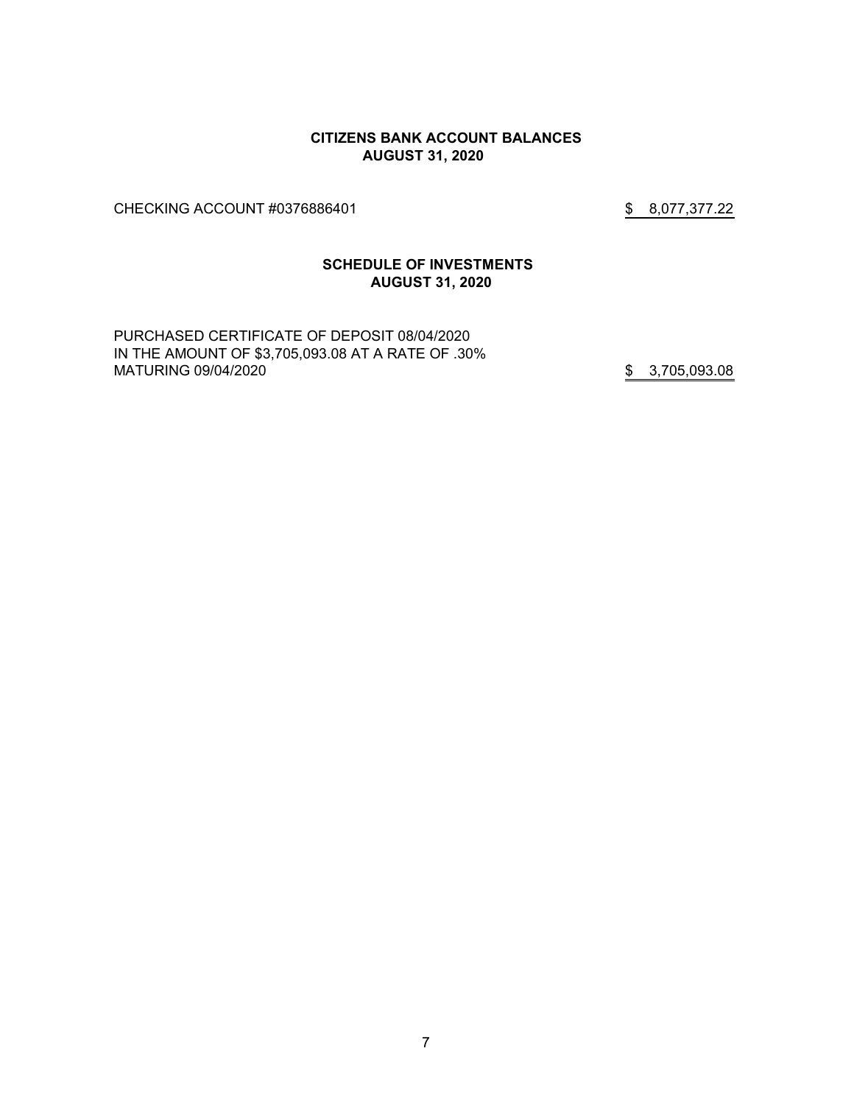#### **CITIZENS BANK ACCOUNT BALANCES AUGUST 31, 2020**

CHECKING ACCOUNT #0376886401 \$ 8,077,377.22

### **SCHEDULE OF INVESTMENTS AUGUST 31, 2020**

PURCHASED CERTIFICATE OF DEPOSIT 08/04/2020 IN THE AMOUNT OF \$3,705,093.08 AT A RATE OF .30% MATURING 09/04/2020 **\$** 3,705,093.08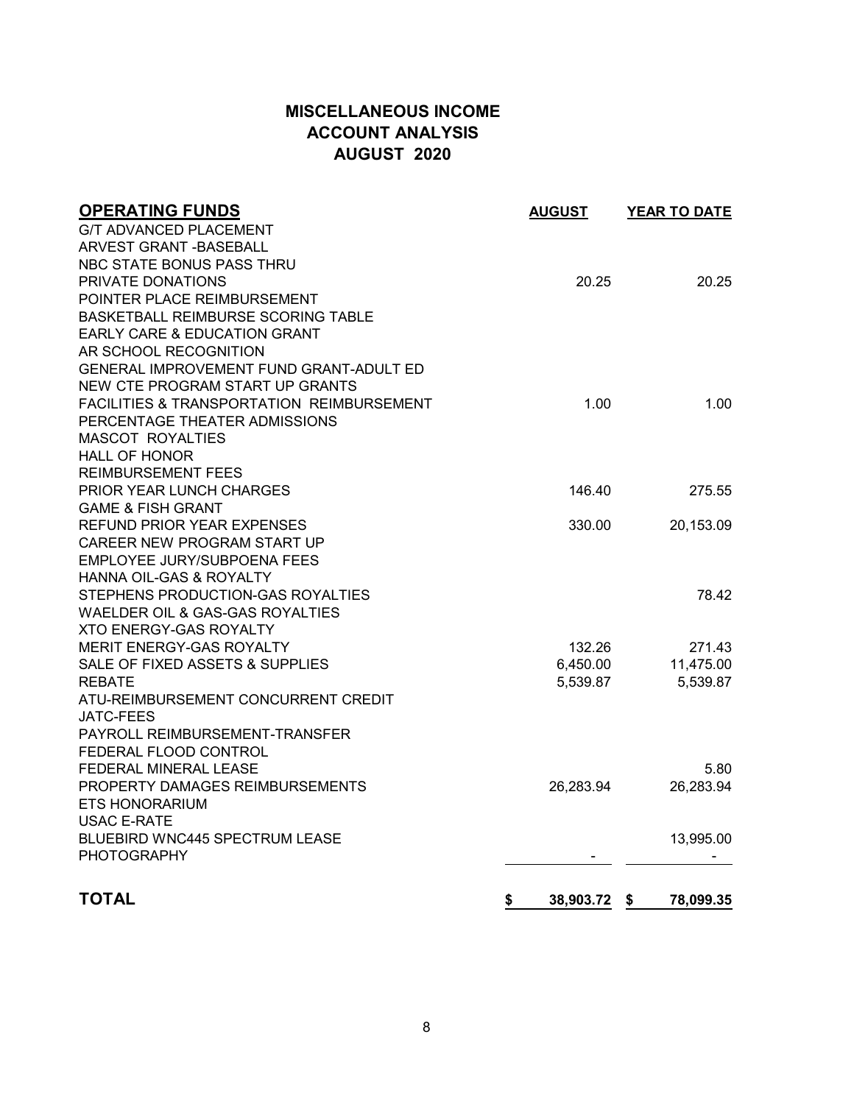# **MISCELLANEOUS INCOME ACCOUNT ANALYSIS AUGUST 2020**

| <b>OPERATING FUNDS</b>                               | <b>AUGUST</b>   | <b>YEAR TO DATE</b> |
|------------------------------------------------------|-----------------|---------------------|
| <b>G/T ADVANCED PLACEMENT</b>                        |                 |                     |
| ARVEST GRANT - BASEBALL                              |                 |                     |
| NBC STATE BONUS PASS THRU                            |                 |                     |
| PRIVATE DONATIONS                                    | 20.25           | 20.25               |
| POINTER PLACE REIMBURSEMENT                          |                 |                     |
| <b>BASKETBALL REIMBURSE SCORING TABLE</b>            |                 |                     |
| EARLY CARE & EDUCATION GRANT                         |                 |                     |
| AR SCHOOL RECOGNITION                                |                 |                     |
| <b>GENERAL IMPROVEMENT FUND GRANT-ADULT ED</b>       |                 |                     |
| NEW CTE PROGRAM START UP GRANTS                      |                 |                     |
| <b>FACILITIES &amp; TRANSPORTATION REIMBURSEMENT</b> | 1.00            | 1.00                |
| PERCENTAGE THEATER ADMISSIONS                        |                 |                     |
| <b>MASCOT ROYALTIES</b>                              |                 |                     |
| <b>HALL OF HONOR</b>                                 |                 |                     |
| <b>REIMBURSEMENT FEES</b>                            |                 |                     |
| <b>PRIOR YEAR LUNCH CHARGES</b>                      | 146.40          | 275.55              |
| <b>GAME &amp; FISH GRANT</b>                         |                 |                     |
| <b>REFUND PRIOR YEAR EXPENSES</b>                    | 330.00          | 20,153.09           |
| CAREER NEW PROGRAM START UP                          |                 |                     |
| EMPLOYEE JURY/SUBPOENA FEES                          |                 |                     |
| <b>HANNA OIL-GAS &amp; ROYALTY</b>                   |                 |                     |
| STEPHENS PRODUCTION-GAS ROYALTIES                    |                 | 78.42               |
| WAELDER OIL & GAS-GAS ROYALTIES                      |                 |                     |
| <b>XTO ENERGY-GAS ROYALTY</b>                        |                 |                     |
| MERIT ENERGY-GAS ROYALTY                             | 132.26          | 271.43              |
| SALE OF FIXED ASSETS & SUPPLIES                      | 6,450.00        | 11,475.00           |
| <b>REBATE</b>                                        | 5,539.87        | 5,539.87            |
| ATU-REIMBURSEMENT CONCURRENT CREDIT                  |                 |                     |
| <b>JATC-FEES</b>                                     |                 |                     |
| PAYROLL REIMBURSEMENT-TRANSFER                       |                 |                     |
| FEDERAL FLOOD CONTROL                                |                 |                     |
| <b>FEDERAL MINERAL LEASE</b>                         |                 | 5.80                |
| PROPERTY DAMAGES REIMBURSEMENTS                      | 26,283.94       | 26,283.94           |
| <b>ETS HONORARIUM</b>                                |                 |                     |
| <b>USAC E-RATE</b>                                   |                 |                     |
| <b>BLUEBIRD WNC445 SPECTRUM LEASE</b>                |                 | 13,995.00           |
| <b>PHOTOGRAPHY</b>                                   |                 |                     |
| <b>TOTAL</b>                                         | \$<br>38,903.72 | 78,099.35<br>-\$    |
|                                                      |                 |                     |